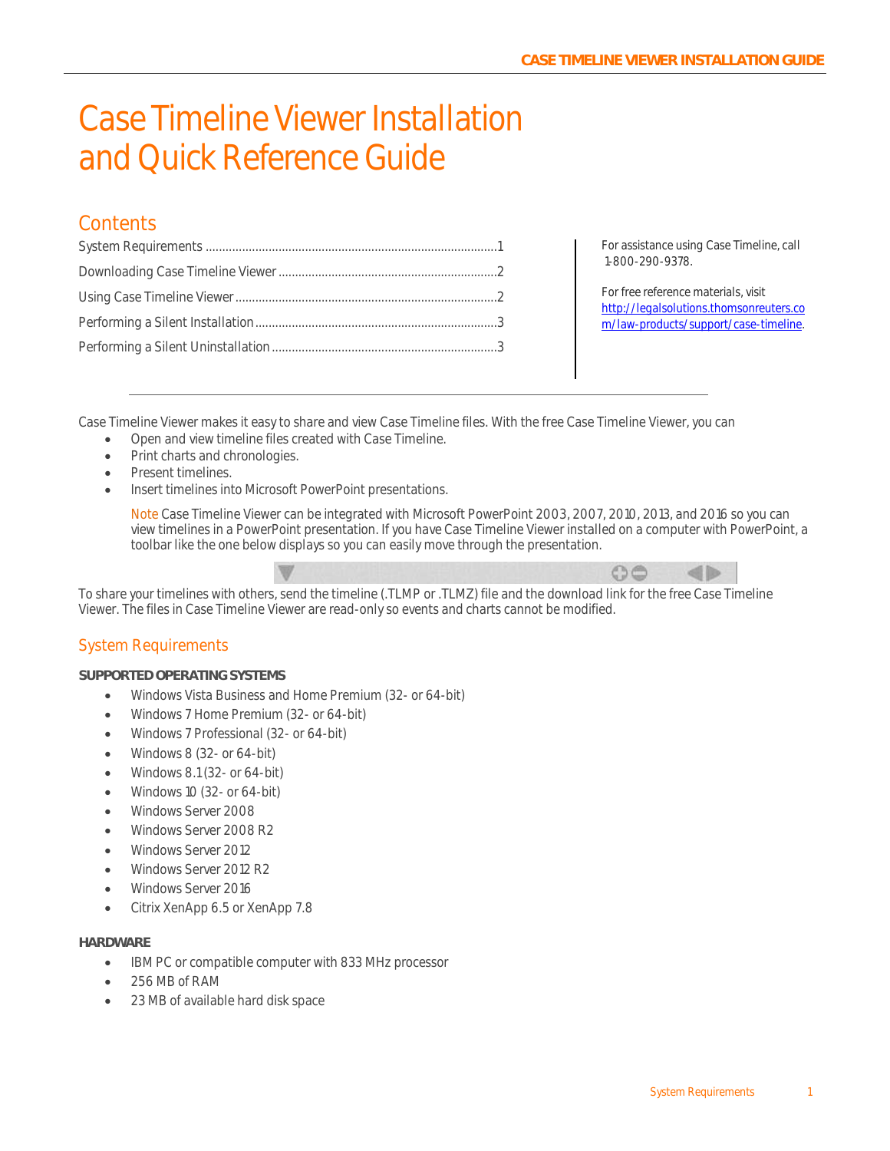# Case Timeline Viewer Installation and Quick Reference Guide

### **Contents**

For assistance using Case Timeline, call 1-800-290-9378.

For free reference materials, visit [http://legalsolutions.thomsonreuters.co](http://legalsolutions.thomsonreuters.com/law-products/support/case-timeline) [m/law-products/support/case-timeline.](http://legalsolutions.thomsonreuters.com/law-products/support/case-timeline)

Case Timeline Viewer makes it easy to share and view Case Timeline files. With the free Case Timeline Viewer, you can

- Open and view timeline files created with Case Timeline.
- Print charts and chronologies.
- Present timelines.
- Insert timelines into Microsoft PowerPoint presentations.

Note Case Timeline Viewer can be integrated with Microsoft PowerPoint 2003, 2007, 2010, 2013, and 2016 so you can view timelines in a PowerPoint presentation. If you have Case Timeline Viewer installed on a computer with PowerPoint, a toolbar like the one below displays so you can easily move through the presentation.



To share your timelines with others, send the timeline (.TLMP or .TLMZ) file and the download link for the free Case Timeline Viewer. The files in Case Timeline Viewer are read-only so events and charts cannot be modified.

#### <span id="page-0-0"></span>System Requirements

**SUPPORTED OPERATING SYSTEMS**

- Windows Vista Business and Home Premium (32- or 64-bit)
- Windows 7 Home Premium (32- or 64-bit)
- Windows 7 Professional (32- or 64-bit)
- Windows 8 (32- or 64-bit)
- $\bullet$  Windows 8.1 (32- or 64-bit)
- Windows 10 (32- or 64-bit)
- Windows Server 2008
- Windows Server 2008 R2
- Windows Server 2012
- Windows Server 2012 R2
- Windows Server 2016
- Citrix XenApp 6.5 or XenApp 7.8

#### **HARDWARE**

- IBM PC or compatible computer with 833 MHz processor
- 256 MB of RAM
- 23 MB of available hard disk space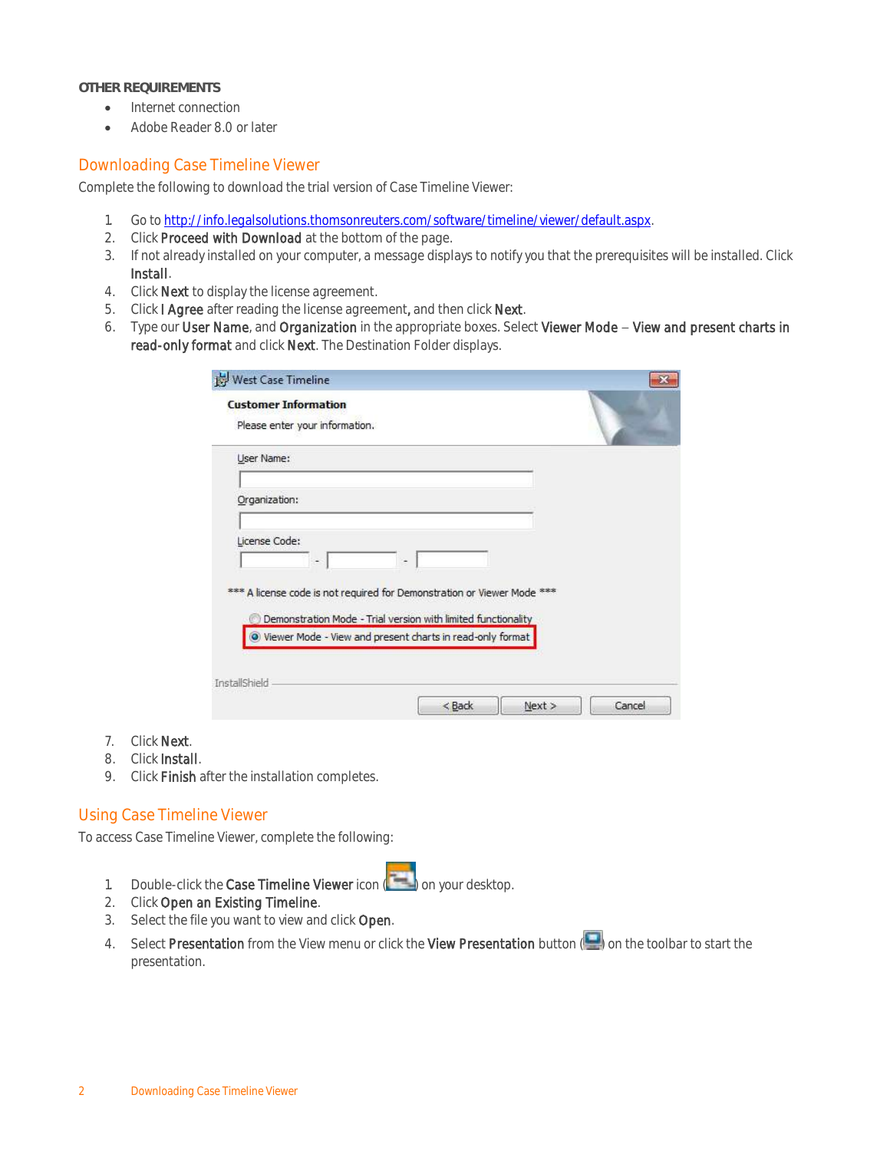#### **OTHER REQUIREMENTS**

- Internet connection
- Adobe Reader 8.0 or later

#### <span id="page-1-0"></span>Downloading Case Timeline Viewer

Complete the following to download the trial version of Case Timeline Viewer:

- 1. Go to [http://info.legalsolutions.thomsonreuters.com/software/timeline/viewer/default.aspx.](http://info.legalsolutions.thomsonreuters.com/software/timeline/viewer/default.aspx)
- 2. Click Proceed with Download at the bottom of the page.
- 3. If not already installed on your computer, a message displays to notify you that the prerequisites will be installed. Click Install.
- 4. Click Next to display the license agreement.
- 5. Click I Agree after reading the license agreement, and then click Next.
- 6. Type our User Name, and Organization in the appropriate boxes. Select Viewer Mode View and present charts in read-only format and click Next. The Destination Folder displays.

| <b>Customer Information</b>                                             |  |
|-------------------------------------------------------------------------|--|
| Please enter your information.                                          |  |
| User Name:                                                              |  |
|                                                                         |  |
| Organization:                                                           |  |
| License Code:                                                           |  |
| ۰<br>٠                                                                  |  |
|                                                                         |  |
| *** A license code is not required for Demonstration or Viewer Mode *** |  |
| Demonstration Mode - Trial version with limited functionality           |  |
| O Viewer Mode - View and present charts in read-only format             |  |
|                                                                         |  |
| InstallShield                                                           |  |

- 7. Click Next.
- 8. Click Install.
- 9. Click Finish after the installation completes.

#### <span id="page-1-1"></span>Using Case Timeline Viewer

To access Case Timeline Viewer, complete the following:

- 1. Double-click the Case Timeline Viewer icon (**in the land on your desktop.**
- 2. Click Open an Existing Timeline.
- 3. Select the file you want to view and click Open.
- 4. Select Presentation from the View menu or click the View Presentation button (**in )** on the toolbar to start the presentation.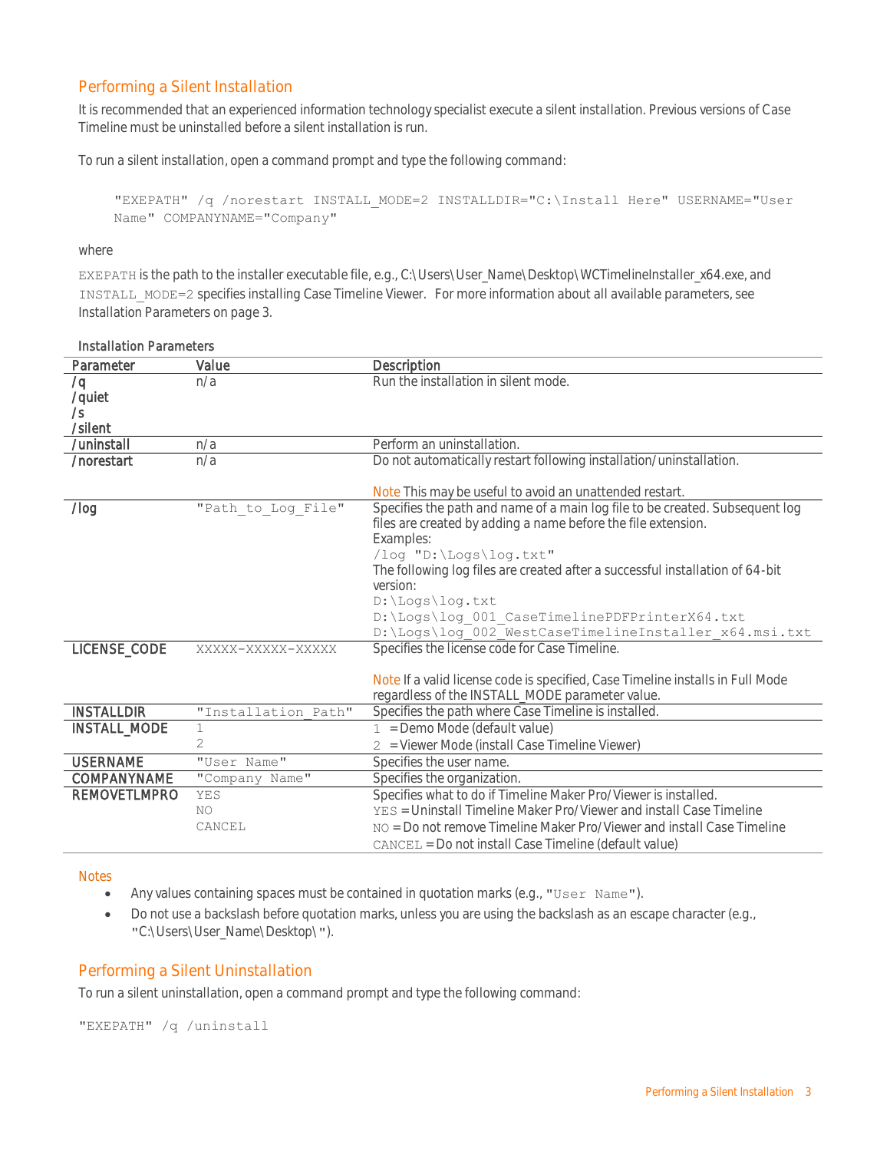#### <span id="page-2-0"></span>Performing a Silent Installation

It is recommended that an experienced information technology specialist execute a silent installation. Previous versions of Case Timeline must be uninstalled before a silent installation is run.

To run a silent installation, open a command prompt and type the following command:

```
"EXEPATH" /q /norestart INSTALL_MODE=2 INSTALLDIR="C:\Install Here" USERNAME="User 
Name" COMPANYNAME="Company"
```
#### where

EXEPATH is the path to the installer executable file, e.g., C:\Users\User\_Name\Desktop\WCTimelineInstaller\_x64.exe, and INSTALL\_MODE=2 specifies installing Case Timeline Viewer. For more information about all available parameters, see [Installation Parameters](#page-2-2) on pag[e 3.](#page-2-3)

| Parameter           | Value               | Description                                                                    |  |
|---------------------|---------------------|--------------------------------------------------------------------------------|--|
| /q                  | n/a                 | Run the installation in silent mode.                                           |  |
| /quiet              |                     |                                                                                |  |
| $\sqrt{s}$          |                     |                                                                                |  |
| /silent             |                     |                                                                                |  |
| /uninstall          | n/a                 | Perform an uninstallation.                                                     |  |
| /norestart          | n/a                 | Do not automatically restart following installation/uninstallation.            |  |
|                     |                     |                                                                                |  |
|                     |                     | Note This may be useful to avoid an unattended restart.                        |  |
| $/$ log             | "Path to Log File"  | Specifies the path and name of a main log file to be created. Subsequent log   |  |
|                     |                     | files are created by adding a name before the file extension.                  |  |
|                     |                     | Examples:                                                                      |  |
|                     |                     | /log "D:\Logs\log.txt"                                                         |  |
|                     |                     | The following log files are created after a successful installation of 64-bit  |  |
|                     |                     | version:                                                                       |  |
|                     |                     | $D:\Logs\log.txt$                                                              |  |
|                     |                     | D:\Logs\log 001 CaseTimelinePDFPrinterX64.txt                                  |  |
|                     |                     | D:\Logs\log_002_WestCaseTimelineInstaller x64.msi.txt                          |  |
| LICENSE_CODE        | XXXXX-XXXXX-XXXXX   | Specifies the license code for Case Timeline.                                  |  |
|                     |                     |                                                                                |  |
|                     |                     | Note If a valid license code is specified, Case Timeline installs in Full Mode |  |
|                     |                     | regardless of the INSTALL_MODE parameter value.                                |  |
| <b>INSTALLDIR</b>   | "Installation Path" | Specifies the path where Case Timeline is installed                            |  |
| INSTALL_MODE        | $\mathbf 1$         | $1 =$ Demo Mode (default value)                                                |  |
|                     | 2                   | 2 = Viewer Mode (install Case Timeline Viewer)                                 |  |
| <b>USERNAME</b>     | "User Name"         | Specifies the user name.                                                       |  |
| COMPANYNAME         | "Company Name"      | Specifies the organization.                                                    |  |
| <b>REMOVETLMPRO</b> | YES                 | Specifies what to do if Timeline Maker Pro/Viewer is installed.                |  |
|                     | NO.                 | YES = Uninstall Timeline Maker Pro/Viewer and install Case Timeline            |  |
|                     | CANCEL              | NO = Do not remove Timeline Maker Pro/Viewer and install Case Timeline         |  |
|                     |                     | CANCEL = Do not install Case Timeline (default value)                          |  |
|                     |                     |                                                                                |  |

## <span id="page-2-2"></span>Installation Parameters

#### Notes

- Any values containing spaces must be contained in quotation marks (e.g., "User Name").
- Do not use a backslash before quotation marks, unless you are using the backslash as an escape character (e.g., "C:\Users\User\_Name\Desktop\").

#### <span id="page-2-1"></span>Performing a Silent Uninstallation

To run a silent uninstallation, open a command prompt and type the following command:

"EXEPATH" /q /uninstall